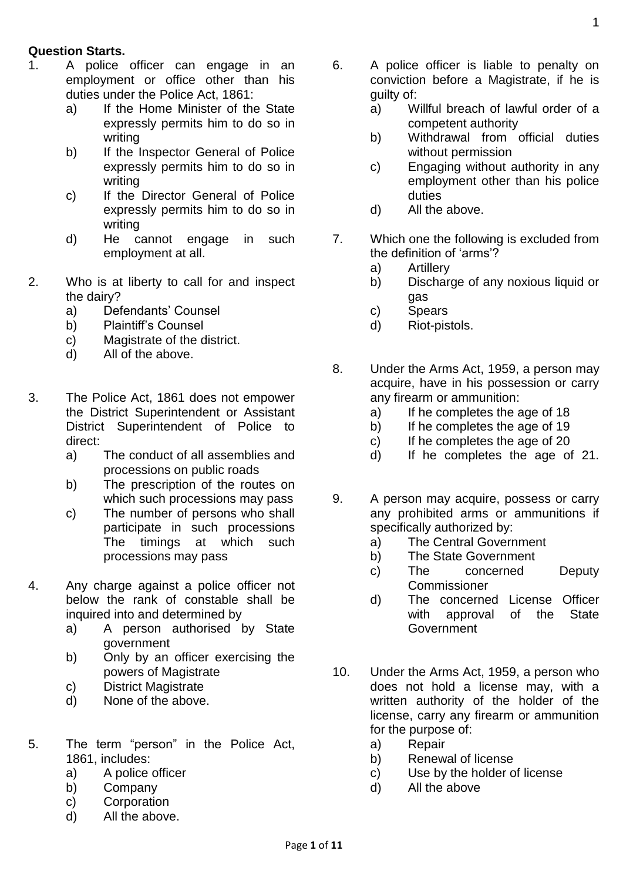## **Question Starts.**

- 1. A police officer can engage in an employment or office other than his duties under the Police Act, 1861:
	- a) If the Home Minister of the State expressly permits him to do so in writing
	- b) If the Inspector General of Police expressly permits him to do so in writing
	- c) If the Director General of Police expressly permits him to do so in writing
	- d) He cannot engage in such employment at all.
- 2. Who is at liberty to call for and inspect the dairy?
	- a) Defendants' Counsel
	- b) Plaintiff's Counsel
	- c) Magistrate of the district.
	- d) All of the above.
- 3. The Police Act, 1861 does not empower the District Superintendent or Assistant District Superintendent of Police to direct:
	- a) The conduct of all assemblies and processions on public roads
	- b) The prescription of the routes on which such processions may pass
	- c) The number of persons who shall participate in such processions The timings at which such processions may pass
- 4. Any charge against a police officer not below the rank of constable shall be inquired into and determined by
	- a) A person authorised by State government
	- b) Only by an officer exercising the powers of Magistrate
	- c) District Magistrate
	- d) None of the above.
- 5. The term "person" in the Police Act, 1861, includes:
	- a) A police officer
	- b) Company
	- c) Corporation
	- d) All the above.
- 6. A police officer is liable to penalty on conviction before a Magistrate, if he is guilty of:
	- a) Willful breach of lawful order of a competent authority
	- b) Withdrawal from official duties without permission
	- c) Engaging without authority in any employment other than his police duties
	- d) All the above.
- 7. Which one the following is excluded from the definition of 'arms'?
	- a) Artillery
	- b) Discharge of any noxious liquid or gas
	- c) Spears
	- d) Riot-pistols.
- 8. Under the Arms Act, 1959, a person may acquire, have in his possession or carry any firearm or ammunition:
	- a) If he completes the age of 18
	- b) If he completes the age of 19
	- c) If he completes the age of 20
	- d) If he completes the age of 21.
- 9. A person may acquire, possess or carry any prohibited arms or ammunitions if specifically authorized by:
	- a) The Central Government
	- b) The State Government
	- c) The concerned Deputy **Commissioner**
	- d) The concerned License Officer with approval of the State Government
- 10. Under the Arms Act, 1959, a person who does not hold a license may, with a written authority of the holder of the license, carry any firearm or ammunition for the purpose of:
	- a) Repair
	- b) Renewal of license
	- c) Use by the holder of license
	- d) All the above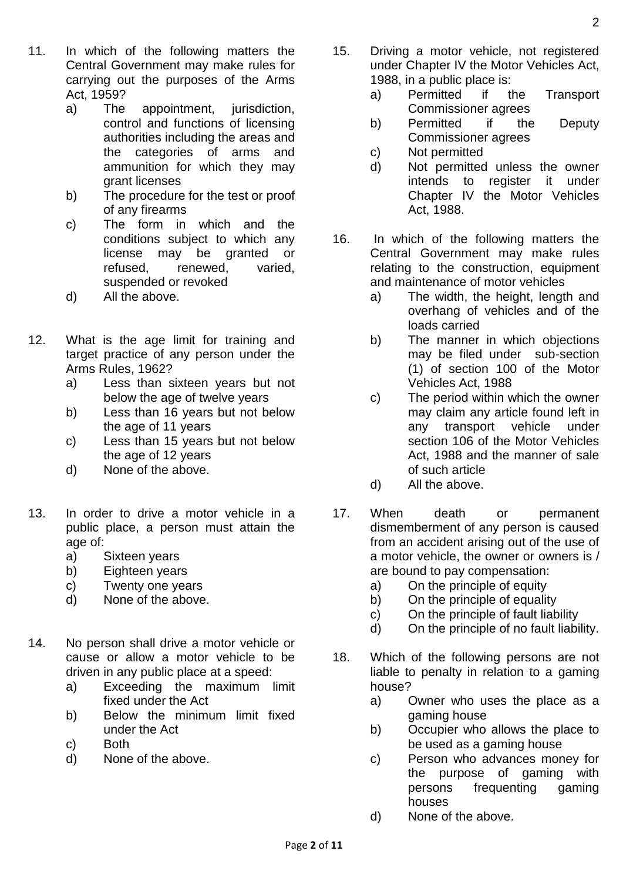- 11. In which of the following matters the Central Government may make rules for carrying out the purposes of the Arms Act, 1959?
	- a) The appointment, jurisdiction, control and functions of licensing authorities including the areas and the categories of arms and ammunition for which they may grant licenses
	- b) The procedure for the test or proof of any firearms
	- c) The form in which and the conditions subject to which any license may be granted or refused, renewed, varied, suspended or revoked
	- d) All the above.
- 12. What is the age limit for training and target practice of any person under the Arms Rules, 1962?
	- a) Less than sixteen years but not below the age of twelve years
	- b) Less than 16 years but not below the age of 11 years
	- c) Less than 15 years but not below the age of 12 years
	- d) None of the above.
- 13. In order to drive a motor vehicle in a public place, a person must attain the age of:
	- a) Sixteen years
	- b) Eighteen years
	- c) Twenty one years
	- d) None of the above.
- 14. No person shall drive a motor vehicle or cause or allow a motor vehicle to be driven in any public place at a speed:
	- a) Exceeding the maximum limit fixed under the Act
	- b) Below the minimum limit fixed under the Act
	- c) Both
	- d) None of the above.
- 15. Driving a motor vehicle, not registered under Chapter IV the Motor Vehicles Act, 1988, in a public place is:
	- a) Permitted if the Transport Commissioner agrees
	- b) Permitted if the Deputy Commissioner agrees
	- c) Not permitted
	- d) Not permitted unless the owner intends to register it under Chapter IV the Motor Vehicles Act, 1988.
- 16. In which of the following matters the Central Government may make rules relating to the construction, equipment and maintenance of motor vehicles
	- a) The width, the height, length and overhang of vehicles and of the loads carried
	- b) The manner in which objections may be filed under sub-section (1) of section 100 of the Motor Vehicles Act, 1988
	- c) The period within which the owner may claim any article found left in any transport vehicle under section 106 of the Motor Vehicles Act, 1988 and the manner of sale of such article
	- d) All the above.
- 17. When death or permanent dismemberment of any person is caused from an accident arising out of the use of a motor vehicle, the owner or owners is / are bound to pay compensation:
	- a) On the principle of equity
	- b) On the principle of equality
	- c) On the principle of fault liability
	- d) On the principle of no fault liability.
- 18. Which of the following persons are not liable to penalty in relation to a gaming house?
	- a) Owner who uses the place as a gaming house
	- b) Occupier who allows the place to be used as a gaming house
	- c) Person who advances money for the purpose of gaming with persons frequenting gaming houses
	- d) None of the above.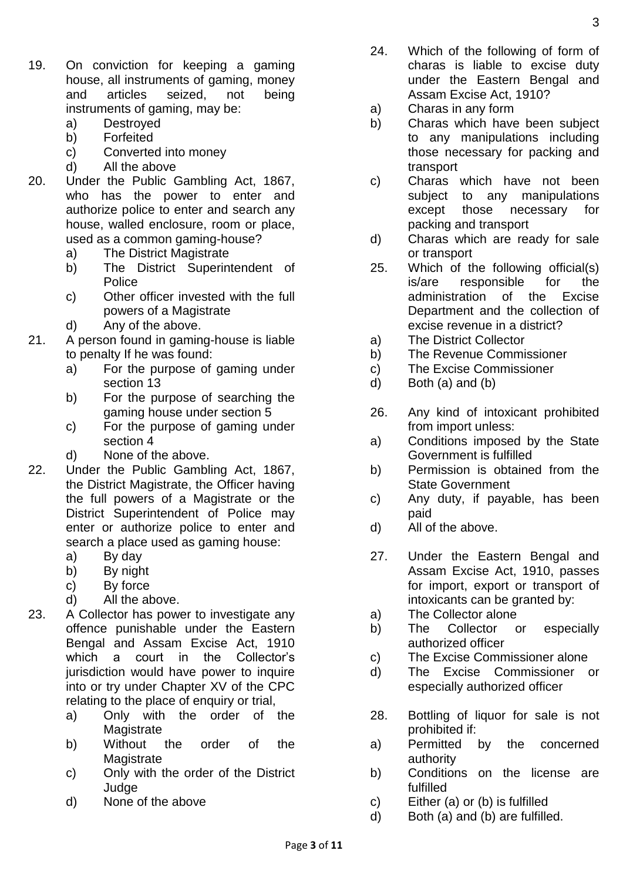- 19. On conviction for keeping a gaming house, all instruments of gaming, money and articles seized, not being instruments of gaming, may be:
	- a) Destroyed
	- b) Forfeited
	- c) Converted into money
	- d) All the above
- 20. Under the Public Gambling Act, 1867, who has the power to enter and authorize police to enter and search any house, walled enclosure, room or place, used as a common gaming-house?
	- a) The District Magistrate
	- b) The District Superintendent of Police
	- c) Other officer invested with the full powers of a Magistrate
	- d) Any of the above.
- 21. A person found in gaming-house is liable to penalty If he was found:
	- a) For the purpose of gaming under section 13
	- b) For the purpose of searching the gaming house under section 5
	- c) For the purpose of gaming under section 4
	- d) None of the above.
- 22. Under the Public Gambling Act, 1867, the District Magistrate, the Officer having the full powers of a Magistrate or the District Superintendent of Police may enter or authorize police to enter and search a place used as gaming house:
	- a) By day
	- b) By night
	- c) By force
	- d) All the above.
- 23. A Collector has power to investigate any offence punishable under the Eastern Bengal and Assam Excise Act, 1910 which a court in the Collector's jurisdiction would have power to inquire into or try under Chapter XV of the CPC relating to the place of enquiry or trial,
	- a) Only with the order of the **Magistrate**
	- b) Without the order of the **Magistrate**
	- c) Only with the order of the District Judge
	- d) None of the above
- 24. Which of the following of form of charas is liable to excise duty under the Eastern Bengal and Assam Excise Act, 1910?
- a) Charas in any form
- b) Charas which have been subject to any manipulations including those necessary for packing and transport
- c) Charas which have not been subject to any manipulations except those necessary for packing and transport
- d) Charas which are ready for sale or transport
- 25. Which of the following official(s) is/are responsible for the administration of the Excise Department and the collection of excise revenue in a district?
- a) The District Collector
- b) The Revenue Commissioner
- c) The Excise Commissioner
- d) Both (a) and (b)
- 26. Any kind of intoxicant prohibited from import unless:
- a) Conditions imposed by the State Government is fulfilled
- b) Permission is obtained from the State Government
- c) Any duty, if payable, has been paid
- d) All of the above.
- 27. Under the Eastern Bengal and Assam Excise Act, 1910, passes for import, export or transport of intoxicants can be granted by:
- a) The Collector alone
- b) The Collector or especially authorized officer
- c) The Excise Commissioner alone
- d) The Excise Commissioner or especially authorized officer
- 28. Bottling of liquor for sale is not prohibited if:
- a) Permitted by the concerned authority
- b) Conditions on the license are fulfilled
- c) Either (a) or (b) is fulfilled
- d) Both (a) and (b) are fulfilled.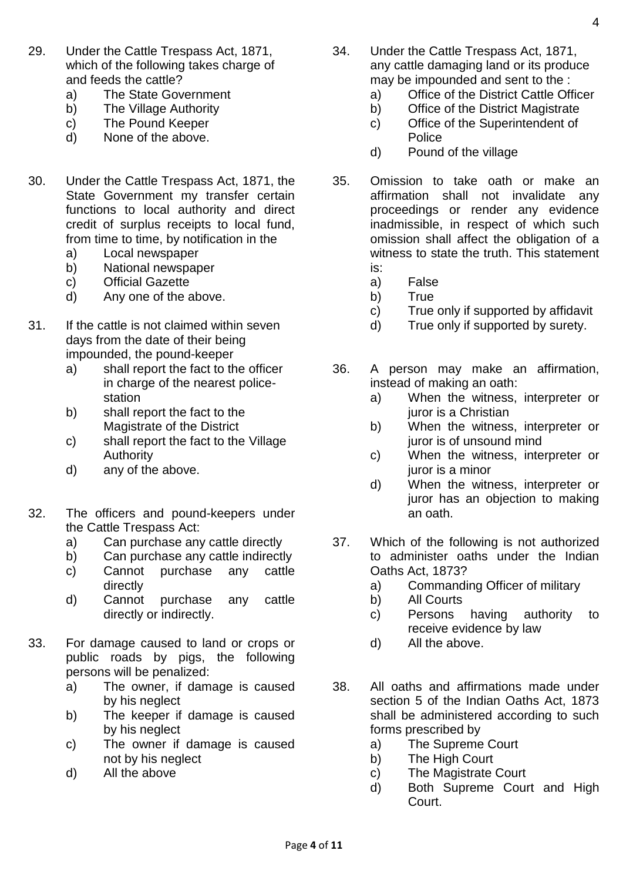- 29. Under the Cattle Trespass Act, 1871, which of the following takes charge of and feeds the cattle?
	- a) The State Government
	- b) The Village Authority
	- c) The Pound Keeper
	- d) None of the above.
- 30. Under the Cattle Trespass Act, 1871, the State Government my transfer certain functions to local authority and direct credit of surplus receipts to local fund, from time to time, by notification in the
	- a) Local newspaper
	- b) National newspaper
	- c) Official Gazette
	- d) Any one of the above.
- 31. If the cattle is not claimed within seven days from the date of their being impounded, the pound-keeper
	- a) shall report the fact to the officer in charge of the nearest policestation
	- b) shall report the fact to the Magistrate of the District
	- c) shall report the fact to the Village Authority
	- d) any of the above.
- 32. The officers and pound-keepers under the Cattle Trespass Act:
	- a) Can purchase any cattle directly
	- b) Can purchase any cattle indirectly
	- c) Cannot purchase any cattle directly
	- d) Cannot purchase any cattle directly or indirectly.
- 33. For damage caused to land or crops or public roads by pigs, the following persons will be penalized:
	- a) The owner, if damage is caused by his neglect
	- b) The keeper if damage is caused by his neglect
	- c) The owner if damage is caused not by his neglect
	- d) All the above
- 34. Under the Cattle Trespass Act, 1871, any cattle damaging land or its produce may be impounded and sent to the :
	- a) Office of the District Cattle Officer
	- b) Office of the District Magistrate c) Office of the Superintendent of
		- Police
	- d) Pound of the village
- 35. Omission to take oath or make an affirmation shall not invalidate any proceedings or render any evidence inadmissible, in respect of which such omission shall affect the obligation of a witness to state the truth. This statement is:
	- a) False
	- b) True
	- c) True only if supported by affidavit
	- d) True only if supported by surety.
- 36. A person may make an affirmation, instead of making an oath:
	- a) When the witness, interpreter or juror is a Christian
	- b) When the witness, interpreter or juror is of unsound mind
	- c) When the witness, interpreter or juror is a minor
	- d) When the witness, interpreter or juror has an objection to making an oath.
- 37. Which of the following is not authorized to administer oaths under the Indian Oaths Act, 1873?
	- a) Commanding Officer of military
	- b) All Courts
	- c) Persons having authority to receive evidence by law
	- d) All the above.
- 38. All oaths and affirmations made under section 5 of the Indian Oaths Act, 1873 shall be administered according to such forms prescribed by
	- a) The Supreme Court
	- b) The High Court
	- c) The Magistrate Court
	- d) Both Supreme Court and High Court.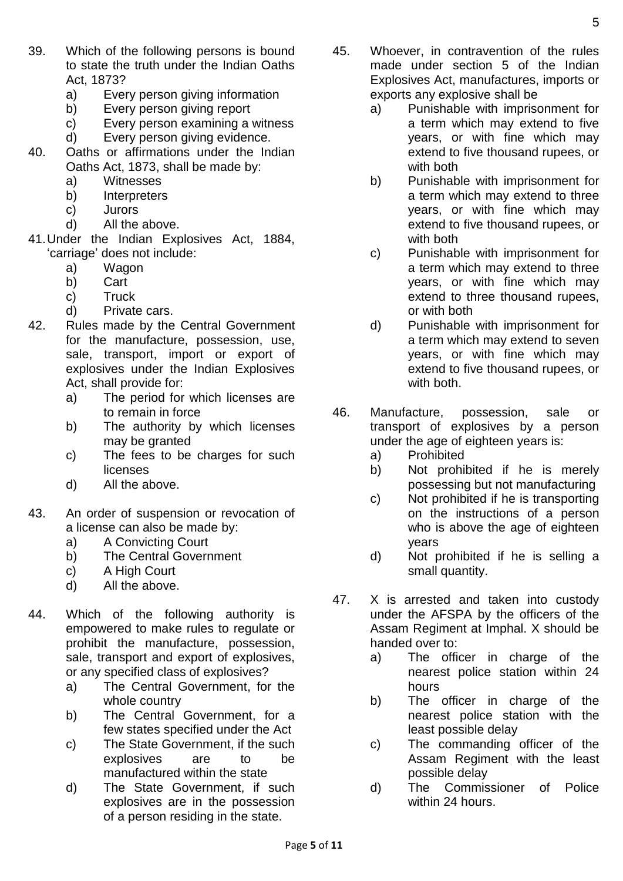- 39. Which of the following persons is bound to state the truth under the Indian Oaths Act, 1873?
	- a) Every person giving information
	- b) Every person giving report
	- c) Every person examining a witness
	- d) Every person giving evidence.
- 40. Oaths or affirmations under the Indian Oaths Act, 1873, shall be made by:
	- a) Witnesses
	- b) Interpreters
	- c) Jurors
	- d) All the above.
- 41.Under the Indian Explosives Act, 1884, 'carriage' does not include:
	- a) Wagon
	- b) Cart
	- c) Truck
	- d) Private cars.
- 42. Rules made by the Central Government for the manufacture, possession, use, sale, transport, import or export of explosives under the Indian Explosives Act, shall provide for:
	- a) The period for which licenses are to remain in force
	- b) The authority by which licenses may be granted
	- c) The fees to be charges for such licenses
	- d) All the above.
- 43. An order of suspension or revocation of a license can also be made by:
	- a) A Convicting Court
	- b) The Central Government
	- c) A High Court
	- d) All the above.
- 44. Which of the following authority is empowered to make rules to regulate or prohibit the manufacture, possession, sale, transport and export of explosives, or any specified class of explosives?
	- a) The Central Government, for the whole country
	- b) The Central Government, for a few states specified under the Act
	- c) The State Government, if the such explosives are to be manufactured within the state
	- d) The State Government, if such explosives are in the possession of a person residing in the state.
- 45. Whoever, in contravention of the rules made under section 5 of the Indian Explosives Act, manufactures, imports or exports any explosive shall be
	- a) Punishable with imprisonment for a term which may extend to five years, or with fine which may extend to five thousand rupees, or with both
	- b) Punishable with imprisonment for a term which may extend to three years, or with fine which may extend to five thousand rupees, or with both
	- c) Punishable with imprisonment for a term which may extend to three years, or with fine which may extend to three thousand rupees, or with both
	- d) Punishable with imprisonment for a term which may extend to seven years, or with fine which may extend to five thousand rupees, or with both.
- 46. Manufacture, possession, sale or transport of explosives by a person under the age of eighteen years is:
	- a) Prohibited
	- b) Not prohibited if he is merely possessing but not manufacturing
	- c) Not prohibited if he is transporting on the instructions of a person who is above the age of eighteen years
	- d) Not prohibited if he is selling a small quantity.
- 47. X is arrested and taken into custody under the AFSPA by the officers of the Assam Regiment at Imphal. X should be handed over to:
	- a) The officer in charge of the nearest police station within 24 hours
	- b) The officer in charge of the nearest police station with the least possible delay
	- c) The commanding officer of the Assam Regiment with the least possible delay
	- d) The Commissioner of Police within 24 hours.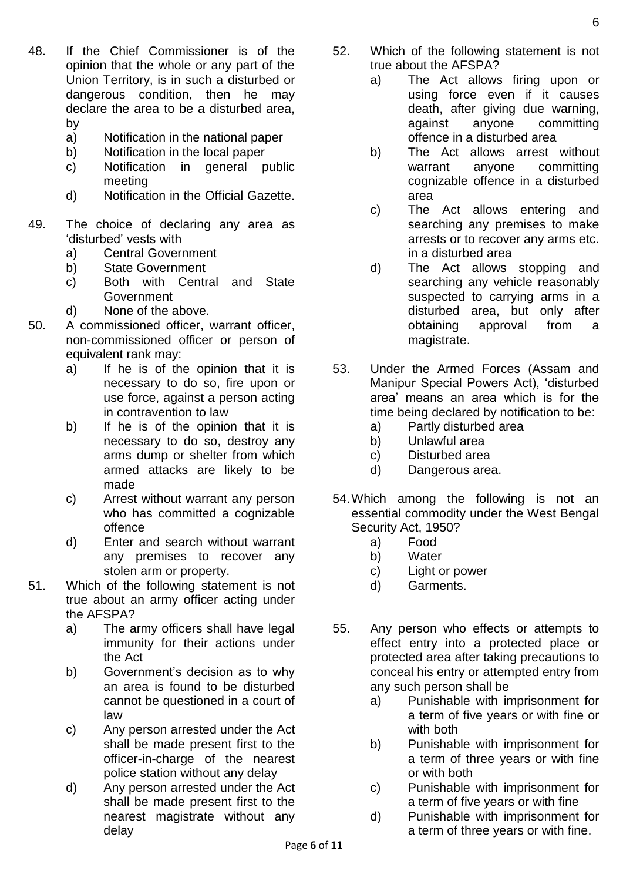- 48. If the Chief Commissioner is of the opinion that the whole or any part of the Union Territory, is in such a disturbed or dangerous condition, then he may declare the area to be a disturbed area, by
	- a) Notification in the national paper
	- b) Notification in the local paper
	- c) Notification in general public meeting
	- d) Notification in the Official Gazette.
- 49. The choice of declaring any area as 'disturbed' vests with
	- a) Central Government
	- b) State Government
	- c) Both with Central and State Government
	- d) None of the above.
- 50. A commissioned officer, warrant officer, non-commissioned officer or person of equivalent rank may:
	- a) If he is of the opinion that it is necessary to do so, fire upon or use force, against a person acting in contravention to law
	- b) If he is of the opinion that it is necessary to do so, destroy any arms dump or shelter from which armed attacks are likely to be made
	- c) Arrest without warrant any person who has committed a cognizable offence
	- d) Enter and search without warrant any premises to recover any stolen arm or property.
- 51. Which of the following statement is not true about an army officer acting under the AFSPA?
	- a) The army officers shall have legal immunity for their actions under the Act
	- b) Government's decision as to why an area is found to be disturbed cannot be questioned in a court of law
	- c) Any person arrested under the Act shall be made present first to the officer-in-charge of the nearest police station without any delay
	- d) Any person arrested under the Act shall be made present first to the nearest magistrate without any delay
- 52. Which of the following statement is not true about the AFSPA?
	- a) The Act allows firing upon or using force even if it causes death, after giving due warning, against anyone committing offence in a disturbed area
	- b) The Act allows arrest without warrant anyone committing cognizable offence in a disturbed area
	- c) The Act allows entering and searching any premises to make arrests or to recover any arms etc. in a disturbed area
	- d) The Act allows stopping and searching any vehicle reasonably suspected to carrying arms in a disturbed area, but only after obtaining approval from a magistrate.
- 53. Under the Armed Forces (Assam and Manipur Special Powers Act), 'disturbed area' means an area which is for the time being declared by notification to be:
	- a) Partly disturbed area
	- b) Unlawful area
	- c) Disturbed area
	- d) Dangerous area.
- 54.Which among the following is not an essential commodity under the West Bengal Security Act, 1950?
	- a) Food
	- b) Water
	- c) Light or power
	- d) Garments.
- 55. Any person who effects or attempts to effect entry into a protected place or protected area after taking precautions to conceal his entry or attempted entry from any such person shall be
	- a) Punishable with imprisonment for a term of five years or with fine or with both
	- b) Punishable with imprisonment for a term of three years or with fine or with both
	- c) Punishable with imprisonment for a term of five years or with fine
	- d) Punishable with imprisonment for a term of three years or with fine.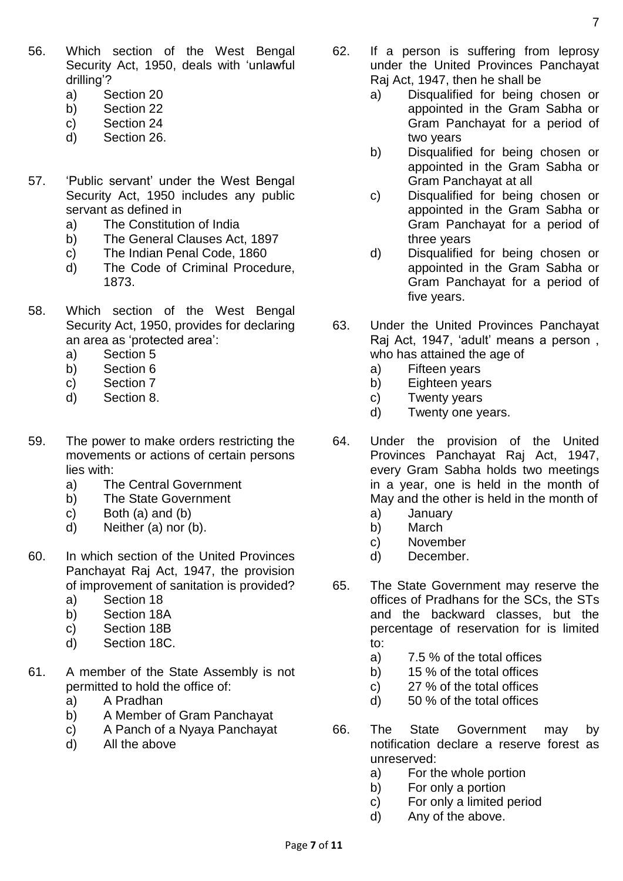- 56. Which section of the West Bengal Security Act, 1950, deals with 'unlawful drilling'?
	- a) Section 20
	- b) Section 22
	- c) Section 24
	- d) Section 26.
- 57. 'Public servant' under the West Bengal Security Act, 1950 includes any public servant as defined in
	- a) The Constitution of India
	- b) The General Clauses Act, 1897
	- c) The Indian Penal Code, 1860
	- d) The Code of Criminal Procedure, 1873.
- 58. Which section of the West Bengal Security Act, 1950, provides for declaring an area as 'protected area':
	- a) Section 5
	- b) Section 6
	- c) Section 7
	- d) Section 8.
- 59. The power to make orders restricting the movements or actions of certain persons lies with:
	- a) The Central Government
	- b) The State Government
	- c) Both (a) and (b)
	- d) Neither (a) nor (b).
- 60. In which section of the United Provinces Panchayat Raj Act, 1947, the provision of improvement of sanitation is provided?
	- a) Section 18
	- b) Section 18A
	- c) Section 18B
	- d) Section 18C.
- 61. A member of the State Assembly is not permitted to hold the office of:
	- a) A Pradhan
	- b) A Member of Gram Panchayat
	- c) A Panch of a Nyaya Panchayat
	- d) All the above
- 62. If a person is suffering from leprosy under the United Provinces Panchayat Raj Act, 1947, then he shall be
	- a) Disqualified for being chosen or appointed in the Gram Sabha or Gram Panchayat for a period of two years
	- b) Disqualified for being chosen or appointed in the Gram Sabha or Gram Panchayat at all
	- c) Disqualified for being chosen or appointed in the Gram Sabha or Gram Panchayat for a period of three years
	- d) Disqualified for being chosen or appointed in the Gram Sabha or Gram Panchayat for a period of five years.
- 63. Under the United Provinces Panchayat Raj Act, 1947, 'adult' means a person , who has attained the age of
	- a) Fifteen years
	- b) Eighteen years
	- c) Twenty years
	- d) Twenty one years.
- 64. Under the provision of the United Provinces Panchayat Raj Act, 1947, every Gram Sabha holds two meetings in a year, one is held in the month of May and the other is held in the month of
	- a) January
	- b) March
	- c) November
	- d) December.
- 65. The State Government may reserve the offices of Pradhans for the SCs, the STs and the backward classes, but the percentage of reservation for is limited to:
	- a) 7.5 % of the total offices
	- b) 15 % of the total offices
	- c) 27 % of the total offices
	- d) 50 % of the total offices
- 66. The State Government may by notification declare a reserve forest as unreserved:
	- a) For the whole portion
	- b) For only a portion
	- c) For only a limited period
	- d) Any of the above.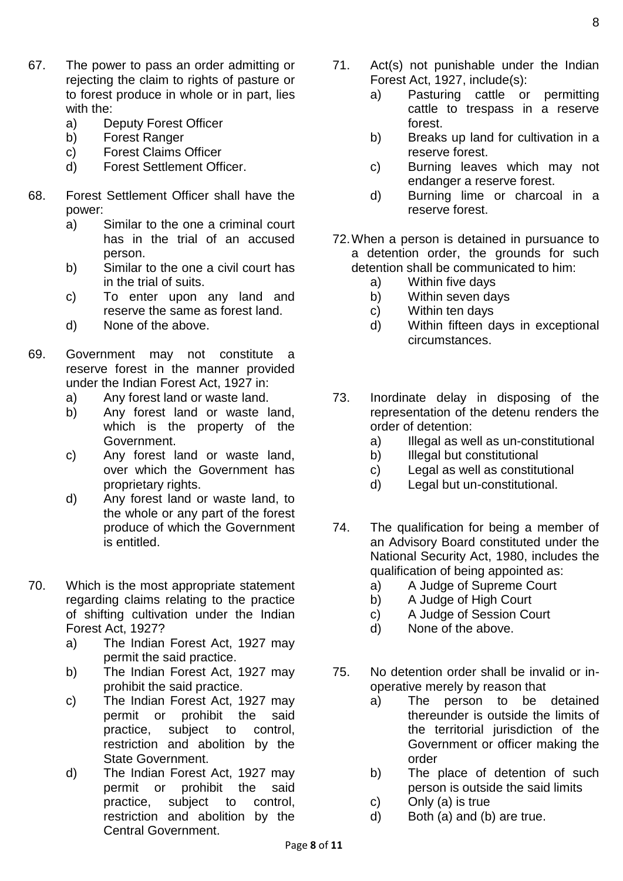- 67. The power to pass an order admitting or rejecting the claim to rights of pasture or to forest produce in whole or in part, lies with the:
	- a) Deputy Forest Officer
	- b) Forest Ranger
	- c) Forest Claims Officer
	- d) Forest Settlement Officer.
- 68. Forest Settlement Officer shall have the power:
	- a) Similar to the one a criminal court has in the trial of an accused person.
	- b) Similar to the one a civil court has in the trial of suits.
	- c) To enter upon any land and reserve the same as forest land.
	- d) None of the above.
- 69. Government may not constitute a reserve forest in the manner provided under the Indian Forest Act, 1927 in:
	- a) Any forest land or waste land.
	- b) Any forest land or waste land, which is the property of the Government.
	- c) Any forest land or waste land, over which the Government has proprietary rights.
	- d) Any forest land or waste land, to the whole or any part of the forest produce of which the Government is entitled.
- 70. Which is the most appropriate statement regarding claims relating to the practice of shifting cultivation under the Indian Forest Act, 1927?
	- a) The Indian Forest Act, 1927 may permit the said practice.
	- b) The Indian Forest Act, 1927 may prohibit the said practice.
	- c) The Indian Forest Act, 1927 may permit or prohibit the said practice, subject to control, restriction and abolition by the State Government.
	- d) The Indian Forest Act, 1927 may permit or prohibit the said practice, subject to control, restriction and abolition by the Central Government.
- 71. Act(s) not punishable under the Indian Forest Act, 1927, include(s):
	- a) Pasturing cattle or permitting cattle to trespass in a reserve forest.
	- b) Breaks up land for cultivation in a reserve forest.
	- c) Burning leaves which may not endanger a reserve forest.
	- d) Burning lime or charcoal in a reserve forest.
- 72.When a person is detained in pursuance to a detention order, the grounds for such detention shall be communicated to him:
	- a) Within five days
	- b) Within seven days
	- c) Within ten days
	- d) Within fifteen days in exceptional circumstances.
- 73. Inordinate delay in disposing of the representation of the detenu renders the order of detention:
	- a) Illegal as well as un-constitutional
	- b) Illegal but constitutional
	- c) Legal as well as constitutional
	- d) Legal but un-constitutional.
- 74. The qualification for being a member of an Advisory Board constituted under the National Security Act, 1980, includes the qualification of being appointed as:
	- a) A Judge of Supreme Court
	- b) A Judge of High Court
	- c) A Judge of Session Court
	- d) None of the above.
- 75. No detention order shall be invalid or inoperative merely by reason that
	- a) The person to be detained thereunder is outside the limits of the territorial jurisdiction of the Government or officer making the order
	- b) The place of detention of such person is outside the said limits
	- c) Only (a) is true
	- d) Both (a) and (b) are true.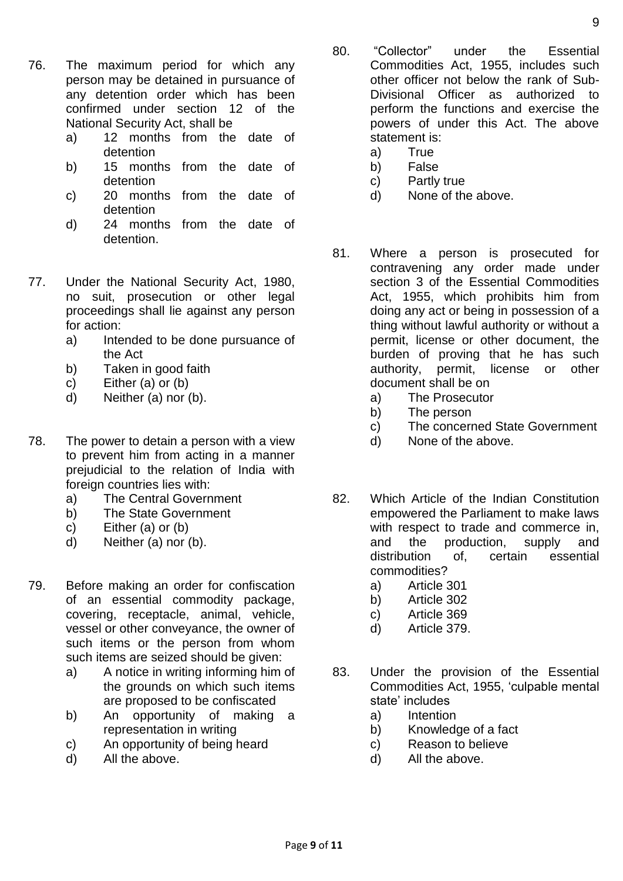- 76. The maximum period for which any person may be detained in pursuance of any detention order which has been confirmed under section 12 of the National Security Act, shall be
	- a) 12 months from the date of detention
	- b) 15 months from the date of detention
	- c) 20 months from the date of detention
	- d) 24 months from the date of detention.
- 77. Under the National Security Act, 1980, no suit, prosecution or other legal proceedings shall lie against any person for action:
	- a) Intended to be done pursuance of the Act
	- b) Taken in good faith
	- c) Either (a) or (b)
	- d) Neither (a) nor (b).
- 78. The power to detain a person with a view to prevent him from acting in a manner prejudicial to the relation of India with foreign countries lies with:
	- a) The Central Government
	- b) The State Government
	- c) Either (a) or (b)
	- d) Neither (a) nor (b).
- 79. Before making an order for confiscation of an essential commodity package, covering, receptacle, animal, vehicle, vessel or other conveyance, the owner of such items or the person from whom such items are seized should be given:
	- a) A notice in writing informing him of the grounds on which such items are proposed to be confiscated
	- b) An opportunity of making a representation in writing
	- c) An opportunity of being heard
	- d) All the above.
- 80. "Collector" under the Essential Commodities Act, 1955, includes such other officer not below the rank of Sub-Divisional Officer as authorized to perform the functions and exercise the powers of under this Act. The above statement is:
	- a) True
	- b) False
	- c) Partly true
	- d) None of the above.
- 81. Where a person is prosecuted for contravening any order made under section 3 of the Essential Commodities Act, 1955, which prohibits him from doing any act or being in possession of a thing without lawful authority or without a permit, license or other document, the burden of proving that he has such authority, permit, license or other document shall be on
	- a) The Prosecutor
	- b) The person
	- c) The concerned State Government
	- d) None of the above.
- 82. Which Article of the Indian Constitution empowered the Parliament to make laws with respect to trade and commerce in, and the production, supply and distribution of, certain essential commodities?
	- a) Article 301
	- b) Article 302
	- c) Article 369
	- d) Article 379.
- 83. Under the provision of the Essential Commodities Act, 1955, 'culpable mental state' includes
	- a) Intention
	- b) Knowledge of a fact
	- c) Reason to believe
	- d) All the above.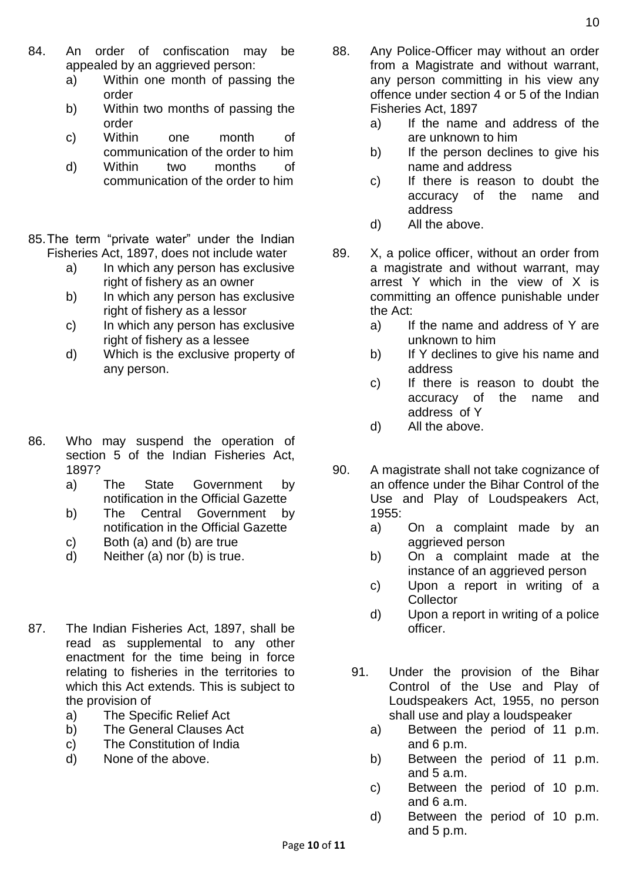- 84. An order of confiscation may be appealed by an aggrieved person:
	- a) Within one month of passing the order
	- b) Within two months of passing the order
	- c) Within one month of communication of the order to him
	- d) Within two months of communication of the order to him
- 85.The term "private water" under the Indian Fisheries Act, 1897, does not include water
	- a) In which any person has exclusive right of fishery as an owner
	- b) In which any person has exclusive right of fishery as a lessor
	- c) In which any person has exclusive right of fishery as a lessee
	- d) Which is the exclusive property of any person.
- 86. Who may suspend the operation of section 5 of the Indian Fisheries Act, 1897?
	- a) The State Government by notification in the Official Gazette
	- b) The Central Government by notification in the Official Gazette
	- c) Both (a) and (b) are true
	- d) Neither (a) nor (b) is true.
- 87. The Indian Fisheries Act, 1897, shall be read as supplemental to any other enactment for the time being in force relating to fisheries in the territories to which this Act extends. This is subject to the provision of
	- a) The Specific Relief Act
	- b) The General Clauses Act
	- c) The Constitution of India
	- d) None of the above.
- 88. Any Police-Officer may without an order from a Magistrate and without warrant, any person committing in his view any offence under section 4 or 5 of the Indian Fisheries Act, 1897
	- a) If the name and address of the are unknown to him
	- b) If the person declines to give his name and address
	- c) If there is reason to doubt the accuracy of the name and address
	- d) All the above.
- 89. X, a police officer, without an order from a magistrate and without warrant, may arrest Y which in the view of X is committing an offence punishable under the Act:
	- a) If the name and address of Y are unknown to him
	- b) If Y declines to give his name and address
	- c) If there is reason to doubt the accuracy of the name and address of Y
	- d) All the above.
- 90. A magistrate shall not take cognizance of an offence under the Bihar Control of the Use and Play of Loudspeakers Act, 1955:
	- a) On a complaint made by an aggrieved person
	- b) On a complaint made at the instance of an aggrieved person
	- c) Upon a report in writing of a **Collector**
	- d) Upon a report in writing of a police officer.
	- 91. Under the provision of the Bihar Control of the Use and Play of Loudspeakers Act, 1955, no person shall use and play a loudspeaker
		- a) Between the period of 11 p.m. and 6 p.m.
		- b) Between the period of 11 p.m. and 5 a.m.
		- c) Between the period of 10 p.m. and 6 a.m.
		- d) Between the period of 10 p.m. and 5 p.m.